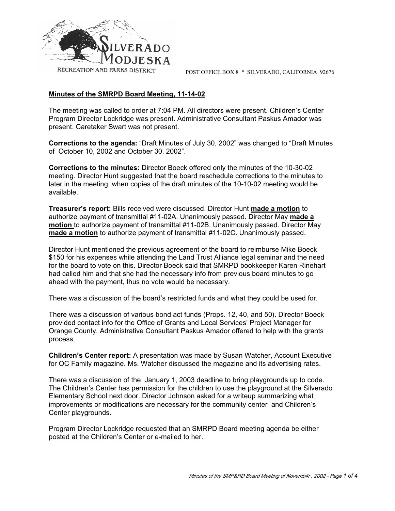

POST OFFICE BOX 8 \* SILVERADO, CALIFORNIA 92676

# **Minutes of the SMRPD Board Meeting, 11-14-02**

The meeting was called to order at 7:04 PM. All directors were present. Children's Center Program Director Lockridge was present. Administrative Consultant Paskus Amador was present. Caretaker Swart was not present.

**Corrections to the agenda:** "Draft Minutes of July 30, 2002" was changed to "Draft Minutes of October 10, 2002 and October 30, 2002".

**Corrections to the minutes:** Director Boeck offered only the minutes of the 10-30-02 meeting. Director Hunt suggested that the board reschedule corrections to the minutes to later in the meeting, when copies of the draft minutes of the 10-10-02 meeting would be available.

**Treasurer's report:** Bills received were discussed. Director Hunt **made a motion** to authorize payment of transmittal #11-02A. Unanimously passed. Director May **made a motion** to authorize payment of transmittal #11-02B. Unanimously passed. Director May **made a motion** to authorize payment of transmittal #11-02C. Unanimously passed.

Director Hunt mentioned the previous agreement of the board to reimburse Mike Boeck \$150 for his expenses while attending the Land Trust Alliance legal seminar and the need for the board to vote on this. Director Boeck said that SMRPD bookkeeper Karen Rinehart had called him and that she had the necessary info from previous board minutes to go ahead with the payment, thus no vote would be necessary.

There was a discussion of the board's restricted funds and what they could be used for.

There was a discussion of various bond act funds (Props. 12, 40, and 50). Director Boeck provided contact info for the Office of Grants and Local Services' Project Manager for Orange County. Administrative Consultant Paskus Amador offered to help with the grants process.

**Children's Center report:** A presentation was made by Susan Watcher, Account Executive for OC Family magazine. Ms. Watcher discussed the magazine and its advertising rates.

There was a discussion of the January 1, 2003 deadline to bring playgrounds up to code. The Children's Center has permission for the children to use the playground at the Silverado Elementary School next door. Director Johnson asked for a writeup summarizing what improvements or modifications are necessary for the community center and Children's Center playgrounds.

Program Director Lockridge requested that an SMRPD Board meeting agenda be either posted at the Children's Center or e-mailed to her.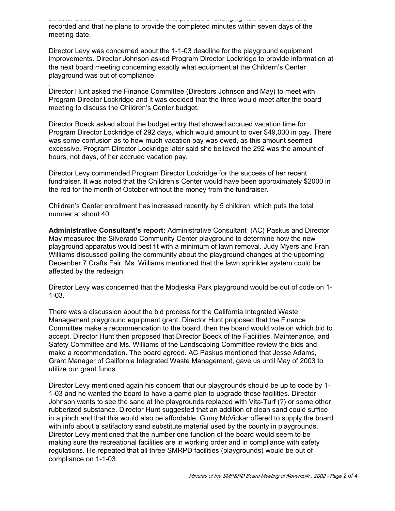Director Boeck mentioned that he is in the process of changing how the minutes are recorded and that he plans to provide the completed minutes within seven days of the meeting date.

Director Levy was concerned about the 1-1-03 deadline for the playground equipment improvements. Director Johnson asked Program Director Lockridge to provide information at the next board meeting concerning exactly what equipment at the Childern's Center playground was out of compliance

Director Hunt asked the Finance Committee (Directors Johnson and May) to meet with Program Director Lockridge and it was decided that the three would meet after the board meeting to discuss the Children's Center budget.

.

Director Boeck asked about the budget entry that showed accrued vacation time for Program Director Lockridge of 292 days, which would amount to over \$49,000 in pay. There was some confusion as to how much vacation pay was owed, as this amount seemed excessive. Program Director Lockridge later said she believed the 292 was the amount of hours, not days, of her accrued vacation pay.

Director Levy commended Program Director Lockridge for the success of her recent fundraiser. It was noted that the Children's Center would have been approximately \$2000 in the red for the month of October without the money from the fundraiser.

Children's Center enrollment has increased recently by 5 children, which puts the total number at about 40.

**Administrative Consultant's report:** Administrative Consultant (AC) Paskus and Director May measured the Silverado Community Center playground to determine how the new playground apparatus would best fit with a minimum of lawn removal. Judy Myers and Fran Williams discussed polling the community about the playground changes at the upcoming December 7 Crafts Fair. Ms. Williams mentioned that the lawn sprinkler system could be affected by the redesign.

Director Levy was concerned that the Modjeska Park playground would be out of code on 1- 1-03.

There was a discussion about the bid process for the California Integrated Waste Management playground equipment grant. Director Hunt proposed that the Finance Committee make a recommendation to the board, then the board would vote on which bid to accept. Director Hunt then proposed that Director Boeck of the Facilities, Maintenance, and Safety Committee and Ms. Williams of the Landscaping Committee review the bids and make a recommendation. The board agreed. AC Paskus mentioned that Jesse Adams, Grant Manager of California Integrated Waste Management, gave us until May of 2003 to utilize our grant funds.

Director Levy mentioned again his concern that our playgrounds should be up to code by 1- 1-03 and he wanted the board to have a game plan to upgrade those facilities. Director Johnson wants to see the sand at the playgrounds replaced with Vita-Turf (?) or some other rubberized substance. Director Hunt suggested that an addition of clean sand could suffice in a pinch and that this would also be affordable. Ginny McVickar offered to supply the board with info about a satifactory sand substitute material used by the county in playgrounds. Director Levy mentioned that the number one function of the board would seem to be making sure the recreational facilities are in working order and in compliance with safety regulations. He repeated that all three SMRPD facilities (playgrounds) would be out of compliance on 1-1-03.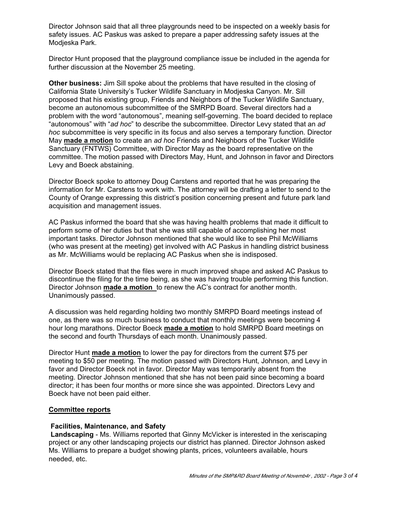Director Johnson said that all three playgrounds need to be inspected on a weekly basis for safety issues. AC Paskus was asked to prepare a paper addressing safety issues at the Modjeska Park.

Director Hunt proposed that the playground compliance issue be included in the agenda for further discussion at the November 25 meeting.

**Other business:** Jim Sill spoke about the problems that have resulted in the closing of California State University's Tucker Wildlife Sanctuary in Modjeska Canyon. Mr. Sill proposed that his existing group, Friends and Neighbors of the Tucker Wildlife Sanctuary, become an autonomous subcommittee of the SMRPD Board. Several directors had a problem with the word "autonomous", meaning self-governing. The board decided to replace "autonomous" with "*ad hoc*" to describe the subcommittee. Director Levy stated that an *ad hoc* subcommittee is very specific in its focus and also serves a temporary function. Director May **made a motion** to create an *ad hoc* Friends and Neighbors of the Tucker Wildlife Sanctuary (FNTWS) Committee, with Director May as the board representative on the committee. The motion passed with Directors May, Hunt, and Johnson in favor and Directors Levy and Boeck abstaining.

Director Boeck spoke to attorney Doug Carstens and reported that he was preparing the information for Mr. Carstens to work with. The attorney will be drafting a letter to send to the County of Orange expressing this district's position concerning present and future park land acquisition and management issues.

AC Paskus informed the board that she was having health problems that made it difficult to perform some of her duties but that she was still capable of accomplishing her most important tasks. Director Johnson mentioned that she would like to see Phil McWilliams (who was present at the meeting) get involved with AC Paskus in handling district business as Mr. McWilliams would be replacing AC Paskus when she is indisposed.

Director Boeck stated that the files were in much improved shape and asked AC Paskus to discontinue the filing for the time being, as she was having trouble performing this function. Director Johnson **made a motion** to renew the AC's contract for another month. Unanimously passed.

A discussion was held regarding holding two monthly SMRPD Board meetings instead of one, as there was so much business to conduct that monthly meetings were becoming 4 hour long marathons. Director Boeck **made a motion** to hold SMRPD Board meetings on the second and fourth Thursdays of each month. Unanimously passed.

Director Hunt **made a motion** to lower the pay for directors from the current \$75 per meeting to \$50 per meeting. The motion passed with Directors Hunt, Johnson, and Levy in favor and Director Boeck not in favor. Director May was temporarily absent from the meeting. Director Johnson mentioned that she has not been paid since becoming a board director; it has been four months or more since she was appointed. Directors Levy and Boeck have not been paid either.

## **Committee reports**

## **Facilities, Maintenance, and Safety**

 **Landscaping** - Ms. Williams reported that Ginny McVicker is interested in the xeriscaping project or any other landscaping projects our district has planned. Director Johnson asked Ms. Williams to prepare a budget showing plants, prices, volunteers available, hours needed, etc.